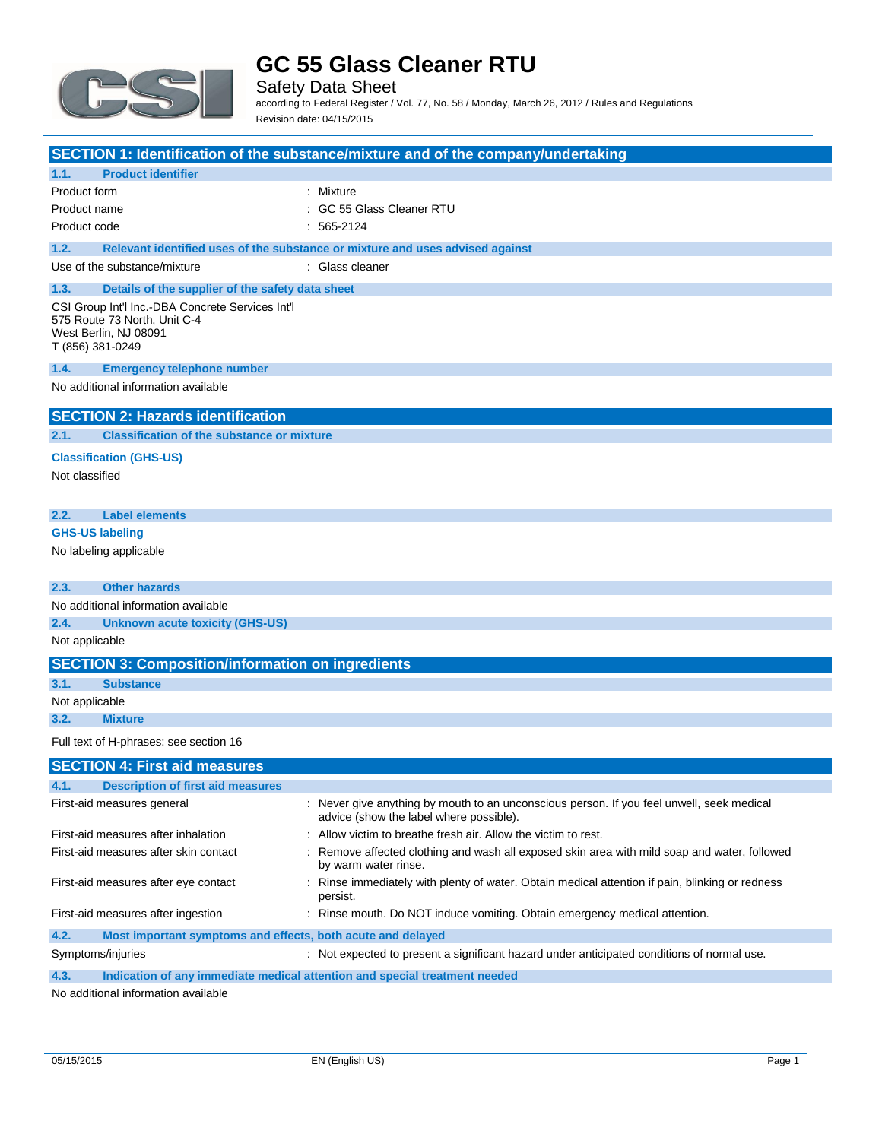

Safety Data Sheet according to Federal Register / Vol. 77, No. 58 / Monday, March 26, 2012 / Rules and Regulations Revision date: 04/15/2015

|                                                                                                                               | SECTION 1: Identification of the substance/mixture and of the company/undertaking                                                    |
|-------------------------------------------------------------------------------------------------------------------------------|--------------------------------------------------------------------------------------------------------------------------------------|
| <b>Product identifier</b><br>1.1.                                                                                             |                                                                                                                                      |
| Product form                                                                                                                  | : Mixture                                                                                                                            |
| Product name                                                                                                                  | : GC 55 Glass Cleaner RTU                                                                                                            |
| Product code                                                                                                                  | $: 565-2124$                                                                                                                         |
| 1.2.                                                                                                                          | Relevant identified uses of the substance or mixture and uses advised against                                                        |
| Use of the substance/mixture                                                                                                  | : Glass cleaner                                                                                                                      |
| 1.3.<br>Details of the supplier of the safety data sheet                                                                      |                                                                                                                                      |
| CSI Group Int'l Inc.-DBA Concrete Services Int'l<br>575 Route 73 North, Unit C-4<br>West Berlin, NJ 08091<br>T (856) 381-0249 |                                                                                                                                      |
| 1.4.<br><b>Emergency telephone number</b>                                                                                     |                                                                                                                                      |
| No additional information available                                                                                           |                                                                                                                                      |
| <b>SECTION 2: Hazards identification</b>                                                                                      |                                                                                                                                      |
| <b>Classification of the substance or mixture</b><br>2.1.                                                                     |                                                                                                                                      |
| <b>Classification (GHS-US)</b><br>Not classified                                                                              |                                                                                                                                      |
| <b>Label elements</b><br>2.2.                                                                                                 |                                                                                                                                      |
| <b>GHS-US labeling</b>                                                                                                        |                                                                                                                                      |
| No labeling applicable                                                                                                        |                                                                                                                                      |
| 2.3.<br><b>Other hazards</b>                                                                                                  |                                                                                                                                      |
| No additional information available                                                                                           |                                                                                                                                      |
| 2.4.<br><b>Unknown acute toxicity (GHS-US)</b>                                                                                |                                                                                                                                      |
| Not applicable                                                                                                                |                                                                                                                                      |
| <b>SECTION 3: Composition/information on ingredients</b>                                                                      |                                                                                                                                      |
| 3.1.<br><b>Substance</b>                                                                                                      |                                                                                                                                      |
| Not applicable                                                                                                                |                                                                                                                                      |
| <b>Mixture</b><br>3.2.                                                                                                        |                                                                                                                                      |
| Full text of H-phrases: see section 16                                                                                        |                                                                                                                                      |
| <b>SECTION 4: First aid measures</b>                                                                                          |                                                                                                                                      |
| 4.1.<br><b>Description of first aid measures</b>                                                                              |                                                                                                                                      |
| First-aid measures general                                                                                                    | : Never give anything by mouth to an unconscious person. If you feel unwell, seek medical<br>advice (show the label where possible). |
| First-aid measures after inhalation                                                                                           | Allow victim to breathe fresh air. Allow the victim to rest.                                                                         |
| First-aid measures after skin contact                                                                                         | : Remove affected clothing and wash all exposed skin area with mild soap and water, followed<br>by warm water rinse.                 |
| First-aid measures after eye contact                                                                                          | : Rinse immediately with plenty of water. Obtain medical attention if pain, blinking or redness<br>persist.                          |
| First-aid measures after ingestion                                                                                            | : Rinse mouth. Do NOT induce vomiting. Obtain emergency medical attention.                                                           |
| 4.2.<br>Most important symptoms and effects, both acute and delayed                                                           |                                                                                                                                      |
| Symptoms/injuries                                                                                                             | : Not expected to present a significant hazard under anticipated conditions of normal use.                                           |

**4.3. Indication of any immediate medical attention and special treatment needed**

No additional information available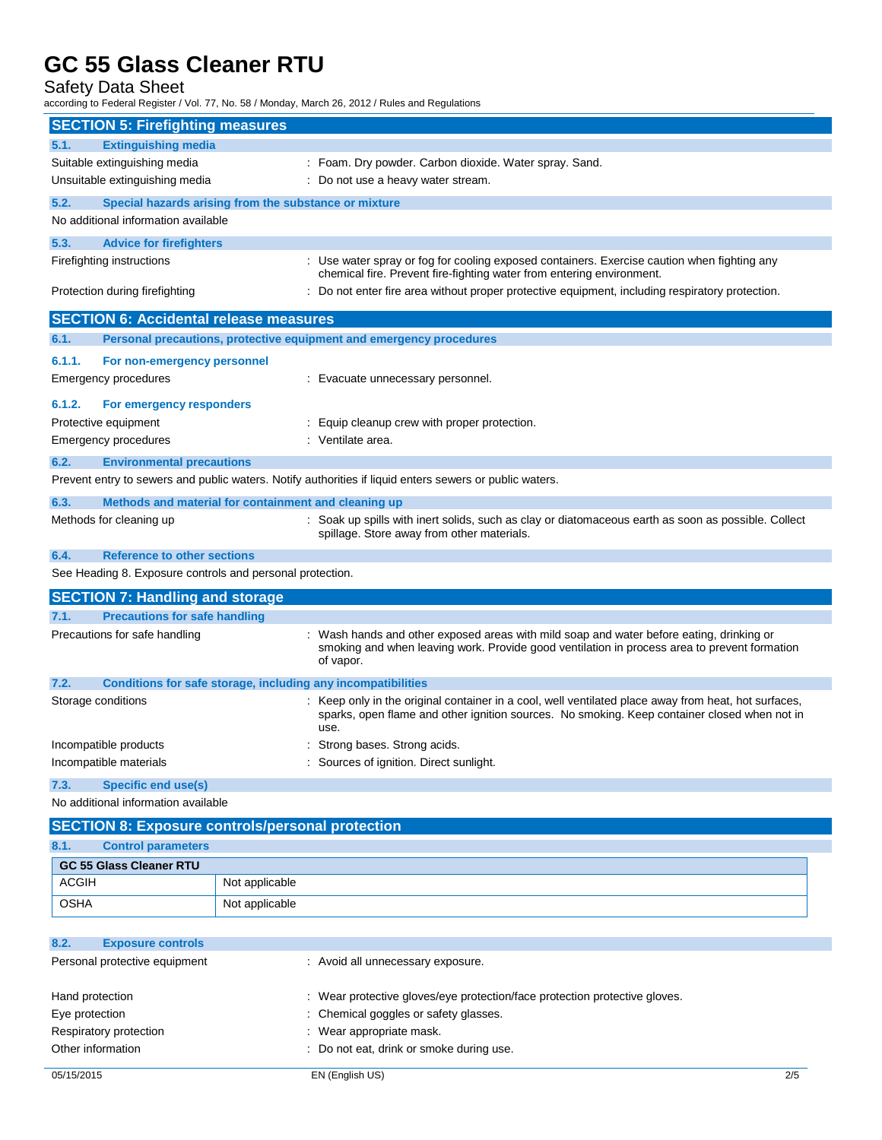Safety Data Sheet

according to Federal Register / Vol. 77, No. 58 / Monday, March 26, 2012 / Rules and Regulations

| <b>SECTION 5: Firefighting measures</b>                   |                                                                                                                                                                                                              |
|-----------------------------------------------------------|--------------------------------------------------------------------------------------------------------------------------------------------------------------------------------------------------------------|
| <b>Extinguishing media</b><br>5.1.                        |                                                                                                                                                                                                              |
| Suitable extinguishing media                              | : Foam. Dry powder. Carbon dioxide. Water spray. Sand.                                                                                                                                                       |
| Unsuitable extinguishing media                            | : Do not use a heavy water stream.                                                                                                                                                                           |
| 5.2.                                                      | Special hazards arising from the substance or mixture                                                                                                                                                        |
| No additional information available                       |                                                                                                                                                                                                              |
| 5.3.<br><b>Advice for firefighters</b>                    |                                                                                                                                                                                                              |
| Firefighting instructions                                 | : Use water spray or fog for cooling exposed containers. Exercise caution when fighting any<br>chemical fire. Prevent fire-fighting water from entering environment.                                         |
| Protection during firefighting                            | : Do not enter fire area without proper protective equipment, including respiratory protection.                                                                                                              |
| <b>SECTION 6: Accidental release measures</b>             |                                                                                                                                                                                                              |
| 6.1.                                                      | Personal precautions, protective equipment and emergency procedures                                                                                                                                          |
| 6.1.1.<br>For non-emergency personnel                     |                                                                                                                                                                                                              |
| Emergency procedures                                      | : Evacuate unnecessary personnel.                                                                                                                                                                            |
|                                                           |                                                                                                                                                                                                              |
| 6.1.2.<br>For emergency responders                        |                                                                                                                                                                                                              |
| Protective equipment                                      | Equip cleanup crew with proper protection.<br>: Ventilate area.                                                                                                                                              |
| Emergency procedures                                      |                                                                                                                                                                                                              |
| 6.2.<br><b>Environmental precautions</b>                  |                                                                                                                                                                                                              |
|                                                           | Prevent entry to sewers and public waters. Notify authorities if liquid enters sewers or public waters.                                                                                                      |
| 6.3.                                                      | Methods and material for containment and cleaning up                                                                                                                                                         |
| Methods for cleaning up                                   | : Soak up spills with inert solids, such as clay or diatomaceous earth as soon as possible. Collect<br>spillage. Store away from other materials.                                                            |
| 6.4.<br><b>Reference to other sections</b>                |                                                                                                                                                                                                              |
| See Heading 8. Exposure controls and personal protection. |                                                                                                                                                                                                              |
| <b>SECTION 7: Handling and storage</b>                    |                                                                                                                                                                                                              |
| <b>Precautions for safe handling</b><br>7.1.              |                                                                                                                                                                                                              |
| Precautions for safe handling                             | : Wash hands and other exposed areas with mild soap and water before eating, drinking or<br>smoking and when leaving work. Provide good ventilation in process area to prevent formation<br>of vapor.        |
| 7.2.                                                      | Conditions for safe storage, including any incompatibilities                                                                                                                                                 |
| Storage conditions                                        | : Keep only in the original container in a cool, well ventilated place away from heat, hot surfaces,<br>sparks, open flame and other ignition sources. No smoking. Keep container closed when not in<br>use. |
| Incompatible products                                     | : Strong bases. Strong acids.                                                                                                                                                                                |
| Incompatible materials                                    | : Sources of ignition. Direct sunlight.                                                                                                                                                                      |
| <b>Specific end use(s)</b><br>7.3.                        |                                                                                                                                                                                                              |
| No additional information available                       |                                                                                                                                                                                                              |
| <b>SECTION 8: Exposure controls/personal protection</b>   |                                                                                                                                                                                                              |
| 8.1.<br><b>Control parameters</b>                         |                                                                                                                                                                                                              |
| <b>GC 55 Glass Cleaner RTU</b>                            |                                                                                                                                                                                                              |
| <b>ACGIH</b>                                              | Not applicable                                                                                                                                                                                               |
| OSHA                                                      | Not applicable                                                                                                                                                                                               |
|                                                           |                                                                                                                                                                                                              |

| 8.2.                   | <b>Exposure controls</b>      |                                                                            |
|------------------------|-------------------------------|----------------------------------------------------------------------------|
|                        | Personal protective equipment | : Avoid all unnecessary exposure.                                          |
| Hand protection        |                               | : Wear protective gloves/eye protection/face protection protective gloves. |
| Eye protection         |                               | : Chemical goggles or safety glasses.                                      |
| Respiratory protection |                               | : Wear appropriate mask.                                                   |
| Other information      |                               | : Do not eat, drink or smoke during use.                                   |
|                        |                               |                                                                            |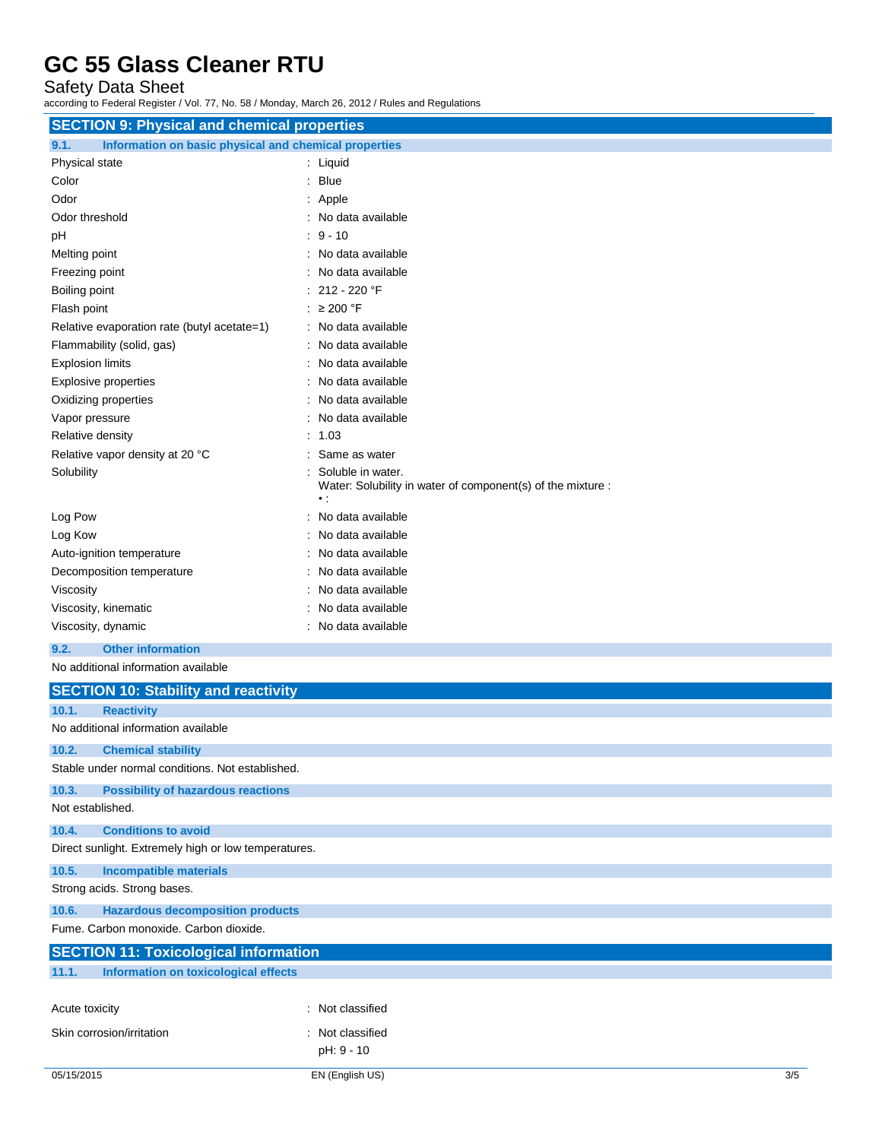Safety Data Sheet

according to Federal Register / Vol. 77, No. 58 / Monday, March 26, 2012 / Rules and Regulations

| <b>SECTION 9: Physical and chemical properties</b>            |                                                                                        |  |
|---------------------------------------------------------------|----------------------------------------------------------------------------------------|--|
| Information on basic physical and chemical properties<br>9.1. |                                                                                        |  |
| Physical state                                                | : Liquid                                                                               |  |
| Color                                                         | $:$ Blue                                                                               |  |
| Odor                                                          | : Apple                                                                                |  |
| Odor threshold                                                | : No data available                                                                    |  |
| pH                                                            | $9 - 10$                                                                               |  |
| Melting point                                                 | No data available                                                                      |  |
| Freezing point                                                | No data available                                                                      |  |
| Boiling point                                                 | 212 - 220 °F                                                                           |  |
| Flash point                                                   | : $\geq 200$ °F                                                                        |  |
| Relative evaporation rate (butyl acetate=1)                   | : No data available                                                                    |  |
| Flammability (solid, gas)                                     | No data available                                                                      |  |
| <b>Explosion limits</b>                                       | No data available                                                                      |  |
| Explosive properties                                          | : No data available                                                                    |  |
| Oxidizing properties                                          | No data available                                                                      |  |
| Vapor pressure                                                | No data available                                                                      |  |
| Relative density                                              | : 1.03                                                                                 |  |
| Relative vapor density at 20 °C                               | Same as water                                                                          |  |
| Solubility                                                    | Soluble in water.<br>Water: Solubility in water of component(s) of the mixture :<br>٠: |  |
| Log Pow                                                       | No data available                                                                      |  |
| Log Kow                                                       | No data available                                                                      |  |
| Auto-ignition temperature                                     | : No data available                                                                    |  |
| Decomposition temperature                                     | No data available                                                                      |  |
| Viscosity                                                     | No data available                                                                      |  |
| Viscosity, kinematic                                          | No data available                                                                      |  |
| Viscosity, dynamic                                            | : No data available                                                                    |  |
| 9.2.<br><b>Other information</b>                              |                                                                                        |  |
| No additional information available                           |                                                                                        |  |
| <b>SECTION 10: Stability and reactivity</b>                   |                                                                                        |  |
| 10.1.<br><b>Reactivity</b>                                    |                                                                                        |  |
| No additional information available                           |                                                                                        |  |
| 10.2.<br><b>Chemical stability</b>                            |                                                                                        |  |
| Stable under normal conditions. Not established.              |                                                                                        |  |
| 10.3.<br><b>Possibility of hazardous reactions</b>            |                                                                                        |  |
| Not established.                                              |                                                                                        |  |
| 10.4.<br><b>Conditions to avoid</b>                           |                                                                                        |  |
| Direct sunlight. Extremely high or low temperatures.          |                                                                                        |  |
| 10.5.<br><b>Incompatible materials</b>                        |                                                                                        |  |
| Strong acids. Strong bases.                                   |                                                                                        |  |
| 10.6.<br><b>Hazardous decomposition products</b>              |                                                                                        |  |
| Fume. Carbon monoxide. Carbon dioxide.                        |                                                                                        |  |

| <b>SECTION 11: Toxicological information</b>  |                  |  |
|-----------------------------------------------|------------------|--|
| 11.1.<br>Information on toxicological effects |                  |  |
|                                               |                  |  |
| Acute toxicity                                | : Not classified |  |
| Skin corrosion/irritation                     | : Not classified |  |
|                                               | pH: 9 - 10       |  |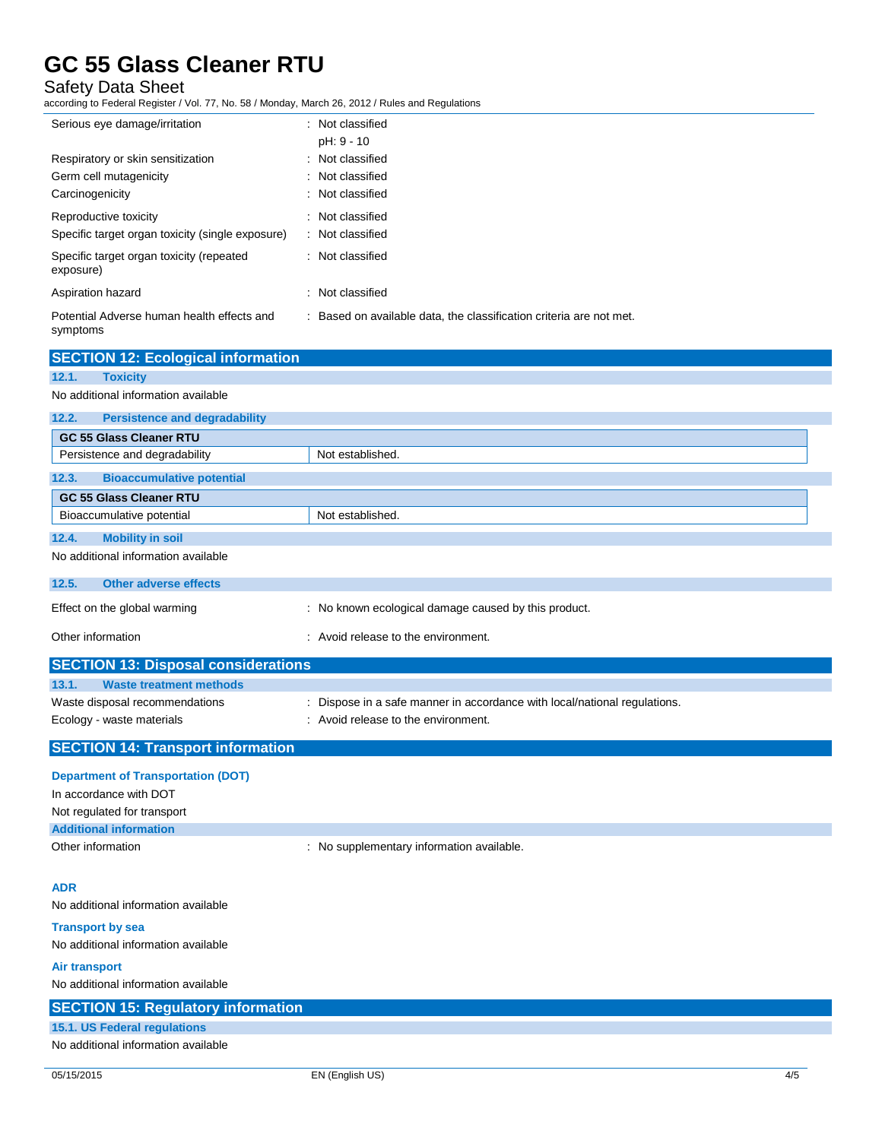### Safety Data Sheet

according to Federal Register / Vol. 77, No. 58 / Monday, March 26, 2012 / Rules and Regulations

Persistence and degradability Not established.

| Serious eye damage/irritation                          | : Not classified<br>pH: 9 - 10                                      |
|--------------------------------------------------------|---------------------------------------------------------------------|
| Respiratory or skin sensitization                      | : Not classified                                                    |
| Germ cell mutagenicity                                 | : Not classified                                                    |
| Carcinogenicity                                        | : Not classified                                                    |
| Reproductive toxicity                                  | : Not classified                                                    |
| Specific target organ toxicity (single exposure)       | : Not classified                                                    |
| Specific target organ toxicity (repeated<br>exposure)  | : Not classified                                                    |
| Aspiration hazard                                      | : Not classified                                                    |
| Potential Adverse human health effects and<br>symptoms | : Based on available data, the classification criteria are not met. |
| <b>SECTION 12: Ecological information</b>              |                                                                     |
| 12.1.<br><b>Toxicity</b>                               |                                                                     |
| No additional information available                    |                                                                     |
| 12.2.<br><b>Persistence and degradability</b>          |                                                                     |
| <b>GC 55 Glass Cleaner RTU</b>                         |                                                                     |

| <b>Bioaccumulative potential</b><br>12.3.  |                                                                           |  |
|--------------------------------------------|---------------------------------------------------------------------------|--|
| <b>GC 55 Glass Cleaner RTU</b>             |                                                                           |  |
| Bioaccumulative potential                  | Not established.                                                          |  |
| 12.4.<br><b>Mobility in soil</b>           |                                                                           |  |
| No additional information available        |                                                                           |  |
| <b>Other adverse effects</b><br>12.5.      |                                                                           |  |
| Effect on the global warming               | : No known ecological damage caused by this product.                      |  |
| Other information                          | : Avoid release to the environment.                                       |  |
| <b>SECTION 13: Disposal considerations</b> |                                                                           |  |
| 13.1.<br><b>Waste treatment methods</b>    |                                                                           |  |
| Waste disposal recommendations             | : Dispose in a safe manner in accordance with local/national regulations. |  |
| Ecology - waste materials                  | : Avoid release to the environment.                                       |  |
|                                            |                                                                           |  |

### **SECTION 14: Transport information**

| <b>Department of Transportation (DOT)</b><br>In accordance with DOT |                                           |
|---------------------------------------------------------------------|-------------------------------------------|
| Not regulated for transport                                         |                                           |
| <b>Additional information</b>                                       |                                           |
| Other information                                                   | : No supplementary information available. |

#### **ADR**

No additional information available

**Transport by sea** No additional information available

**Air transport**

### No additional information available **SECTION 15: Regulatory information 15.1. US Federal regulations** No additional information available